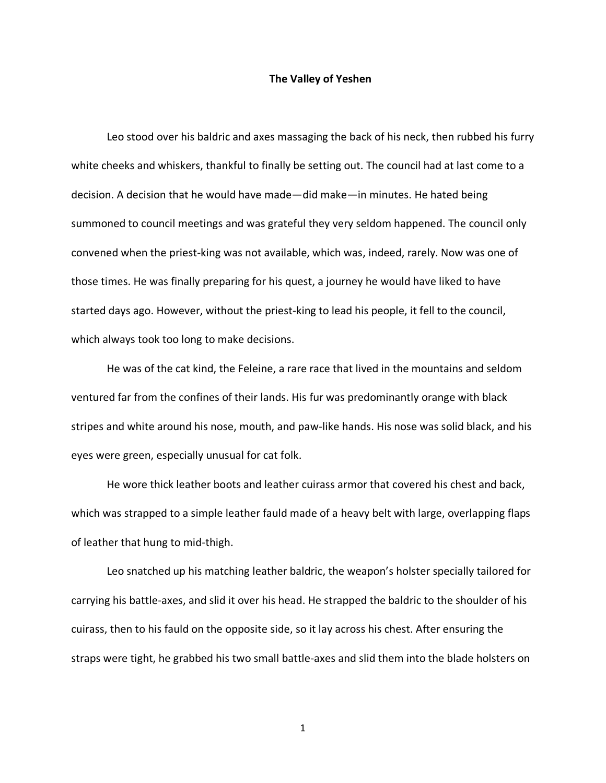## **The Valley of Yeshen**

Leo stood over his baldric and axes massaging the back of his neck, then rubbed his furry white cheeks and whiskers, thankful to finally be setting out. The council had at last come to a decision. A decision that he would have made—did make—in minutes. He hated being summoned to council meetings and was grateful they very seldom happened. The council only convened when the priest-king was not available, which was, indeed, rarely. Now was one of those times. He was finally preparing for his quest, a journey he would have liked to have started days ago. However, without the priest-king to lead his people, it fell to the council, which always took too long to make decisions.

He was of the cat kind, the Feleine, a rare race that lived in the mountains and seldom ventured far from the confines of their lands. His fur was predominantly orange with black stripes and white around his nose, mouth, and paw-like hands. His nose was solid black, and his eyes were green, especially unusual for cat folk.

He wore thick leather boots and leather cuirass armor that covered his chest and back, which was strapped to a simple leather fauld made of a heavy belt with large, overlapping flaps of leather that hung to mid-thigh.

Leo snatched up his matching leather baldric, the weapon's holster specially tailored for carrying his battle-axes, and slid it over his head. He strapped the baldric to the shoulder of his cuirass, then to his fauld on the opposite side, so it lay across his chest. After ensuring the straps were tight, he grabbed his two small battle-axes and slid them into the blade holsters on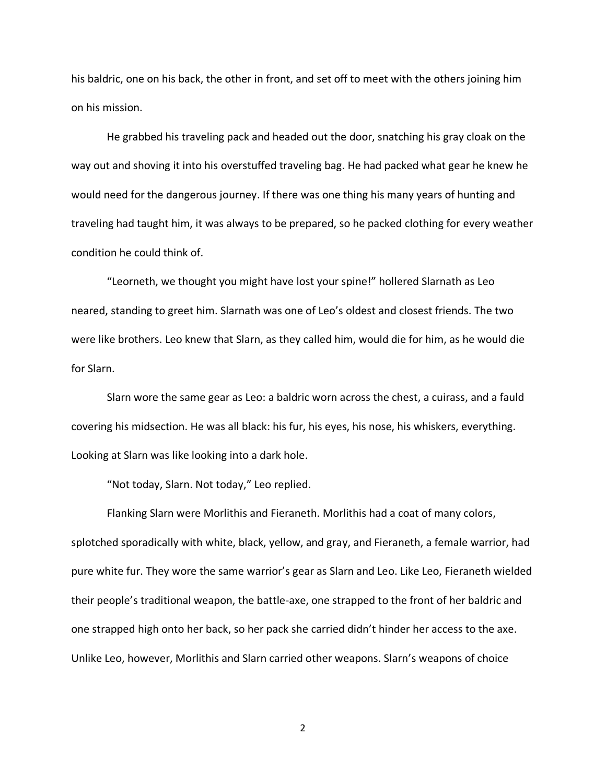his baldric, one on his back, the other in front, and set off to meet with the others joining him on his mission.

He grabbed his traveling pack and headed out the door, snatching his gray cloak on the way out and shoving it into his overstuffed traveling bag. He had packed what gear he knew he would need for the dangerous journey. If there was one thing his many years of hunting and traveling had taught him, it was always to be prepared, so he packed clothing for every weather condition he could think of.

"Leorneth, we thought you might have lost your spine!" hollered Slarnath as Leo neared, standing to greet him. Slarnath was one of Leo's oldest and closest friends. The two were like brothers. Leo knew that Slarn, as they called him, would die for him, as he would die for Slarn.

Slarn wore the same gear as Leo: a baldric worn across the chest, a cuirass, and a fauld covering his midsection. He was all black: his fur, his eyes, his nose, his whiskers, everything. Looking at Slarn was like looking into a dark hole.

"Not today, Slarn. Not today," Leo replied.

Flanking Slarn were Morlithis and Fieraneth. Morlithis had a coat of many colors, splotched sporadically with white, black, yellow, and gray, and Fieraneth, a female warrior, had pure white fur. They wore the same warrior's gear as Slarn and Leo. Like Leo, Fieraneth wielded their people's traditional weapon, the battle-axe, one strapped to the front of her baldric and one strapped high onto her back, so her pack she carried didn't hinder her access to the axe. Unlike Leo, however, Morlithis and Slarn carried other weapons. Slarn's weapons of choice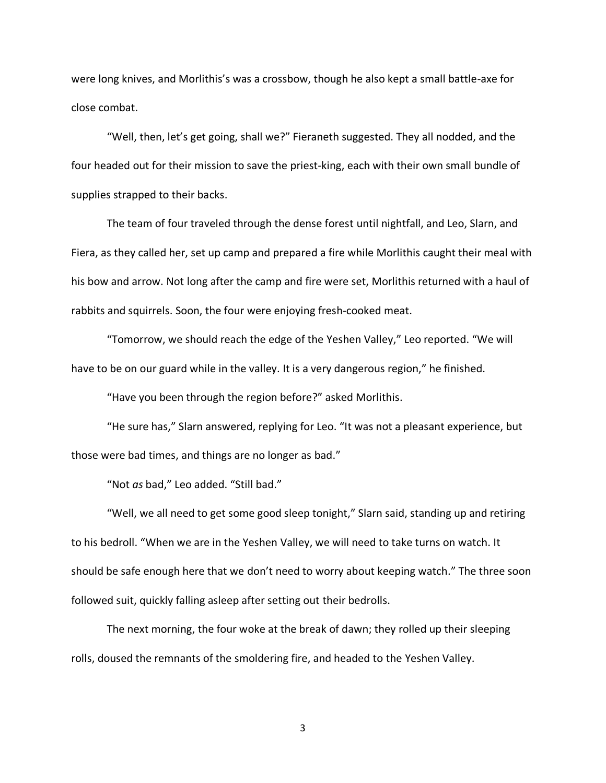were long knives, and Morlithis's was a crossbow, though he also kept a small battle-axe for close combat.

"Well, then, let's get going, shall we?" Fieraneth suggested. They all nodded, and the four headed out for their mission to save the priest-king, each with their own small bundle of supplies strapped to their backs.

The team of four traveled through the dense forest until nightfall, and Leo, Slarn, and Fiera, as they called her, set up camp and prepared a fire while Morlithis caught their meal with his bow and arrow. Not long after the camp and fire were set, Morlithis returned with a haul of rabbits and squirrels. Soon, the four were enjoying fresh-cooked meat.

"Tomorrow, we should reach the edge of the Yeshen Valley," Leo reported. "We will have to be on our guard while in the valley. It is a very dangerous region," he finished.

"Have you been through the region before?" asked Morlithis.

"He sure has," Slarn answered, replying for Leo. "It was not a pleasant experience, but those were bad times, and things are no longer as bad."

"Not *as* bad," Leo added. "Still bad."

"Well, we all need to get some good sleep tonight," Slarn said, standing up and retiring to his bedroll. "When we are in the Yeshen Valley, we will need to take turns on watch. It should be safe enough here that we don't need to worry about keeping watch." The three soon followed suit, quickly falling asleep after setting out their bedrolls.

The next morning, the four woke at the break of dawn; they rolled up their sleeping rolls, doused the remnants of the smoldering fire, and headed to the Yeshen Valley.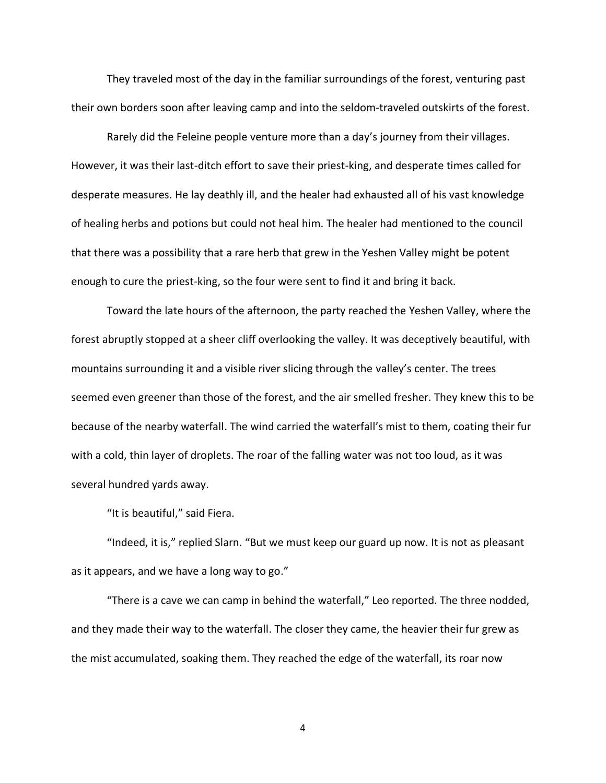They traveled most of the day in the familiar surroundings of the forest, venturing past their own borders soon after leaving camp and into the seldom-traveled outskirts of the forest.

Rarely did the Feleine people venture more than a day's journey from their villages. However, it was their last-ditch effort to save their priest-king, and desperate times called for desperate measures. He lay deathly ill, and the healer had exhausted all of his vast knowledge of healing herbs and potions but could not heal him. The healer had mentioned to the council that there was a possibility that a rare herb that grew in the Yeshen Valley might be potent enough to cure the priest-king, so the four were sent to find it and bring it back.

Toward the late hours of the afternoon, the party reached the Yeshen Valley, where the forest abruptly stopped at a sheer cliff overlooking the valley. It was deceptively beautiful, with mountains surrounding it and a visible river slicing through the valley's center. The trees seemed even greener than those of the forest, and the air smelled fresher. They knew this to be because of the nearby waterfall. The wind carried the waterfall's mist to them, coating their fur with a cold, thin layer of droplets. The roar of the falling water was not too loud, as it was several hundred yards away.

"It is beautiful," said Fiera.

"Indeed, it is," replied Slarn. "But we must keep our guard up now. It is not as pleasant as it appears, and we have a long way to go."

"There is a cave we can camp in behind the waterfall," Leo reported. The three nodded, and they made their way to the waterfall. The closer they came, the heavier their fur grew as the mist accumulated, soaking them. They reached the edge of the waterfall, its roar now